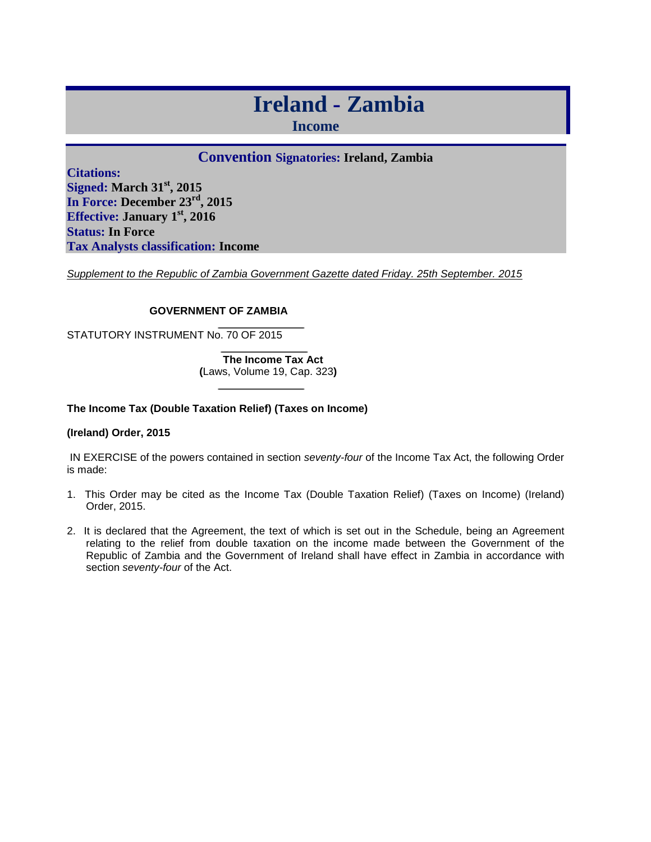# **Ireland - Zambia**

**Income**

# **Convention Signatories: Ireland, Zambia**

**Citations: Signed: March 31 st , 2015 In Force: December 23rd , 2015 Effective: January 1st, 2016 Status: In Force Tax Analysts classification: Income**

*Supplement to the Republic of Zambia Government Gazette dated Friday. 25th September. 2015*

# **GOVERNMENT OF ZAMBIA**

STATUTORY INSTRUMENT No. 70 OF 2015

 **The Income Tax Act (**Laws, Volume 19, Cap. 323**)**

# **The Income Tax (Double Taxation Relief) (Taxes on Income)**

**(Ireland) Order, 2015**

IN EXERCISE of the powers contained in section *seventy-four* of the Income Tax Act, the following Order is made:

- 1. This Order may be cited as the Income Tax (Double Taxation Relief) (Taxes on Income) (Ireland) Order, 2015.
- 2. It is declared that the Agreement, the text of which is set out in the Schedule, being an Agreement relating to the relief from double taxation on the income made between the Government of the Republic of Zambia and the Government of Ireland shall have effect in Zambia in accordance with section *seventy-four* of the Act.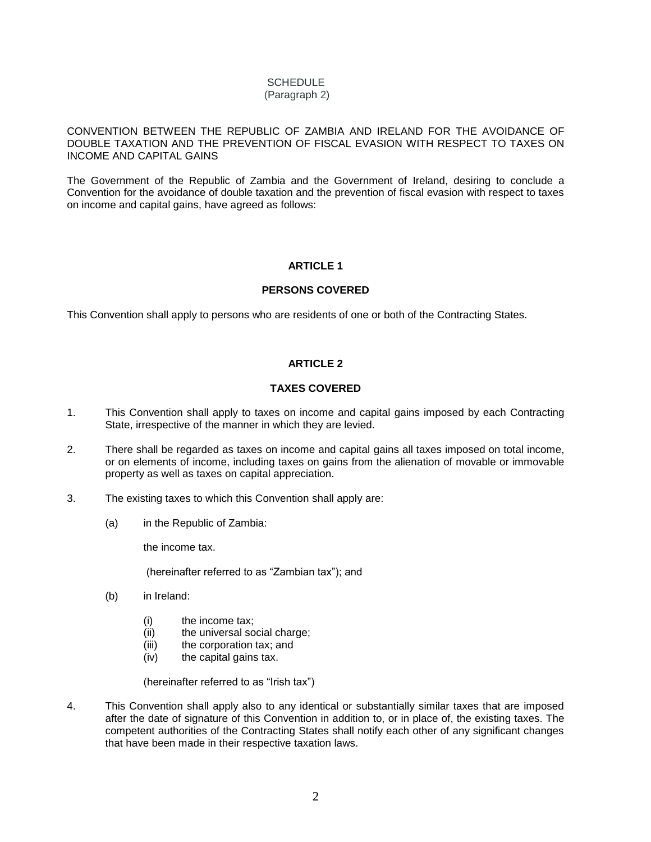# SCHEDULE

#### (Paragraph 2)

#### CONVENTION BETWEEN THE REPUBLIC OF ZAMBIA AND IRELAND FOR THE AVOIDANCE OF DOUBLE TAXATION AND THE PREVENTION OF FISCAL EVASION WITH RESPECT TO TAXES ON INCOME AND CAPITAL GAINS

The Government of the Republic of Zambia and the Government of Ireland, desiring to conclude a Convention for the avoidance of double taxation and the prevention of fiscal evasion with respect to taxes on income and capital gains, have agreed as follows:

# **ARTICLE 1**

# **PERSONS COVERED**

This Convention shall apply to persons who are residents of one or both of the Contracting States.

# **ARTICLE 2**

# **TAXES COVERED**

- 1. This Convention shall apply to taxes on income and capital gains imposed by each Contracting State, irrespective of the manner in which they are levied.
- 2. There shall be regarded as taxes on income and capital gains all taxes imposed on total income, or on elements of income, including taxes on gains from the alienation of movable or immovable property as well as taxes on capital appreciation.
- 3. The existing taxes to which this Convention shall apply are:
	- (a) in the Republic of Zambia:

the income tax.

(hereinafter referred to as "Zambian tax"); and

- (b) in Ireland:
	- (i) the income tax;
	- (ii) the universal social charge;
	- (iii) the corporation tax; and
	- (iv) the capital gains tax.

(hereinafter referred to as "Irish tax")

4. This Convention shall apply also to any identical or substantially similar taxes that are imposed after the date of signature of this Convention in addition to, or in place of, the existing taxes. The competent authorities of the Contracting States shall notify each other of any significant changes that have been made in their respective taxation laws.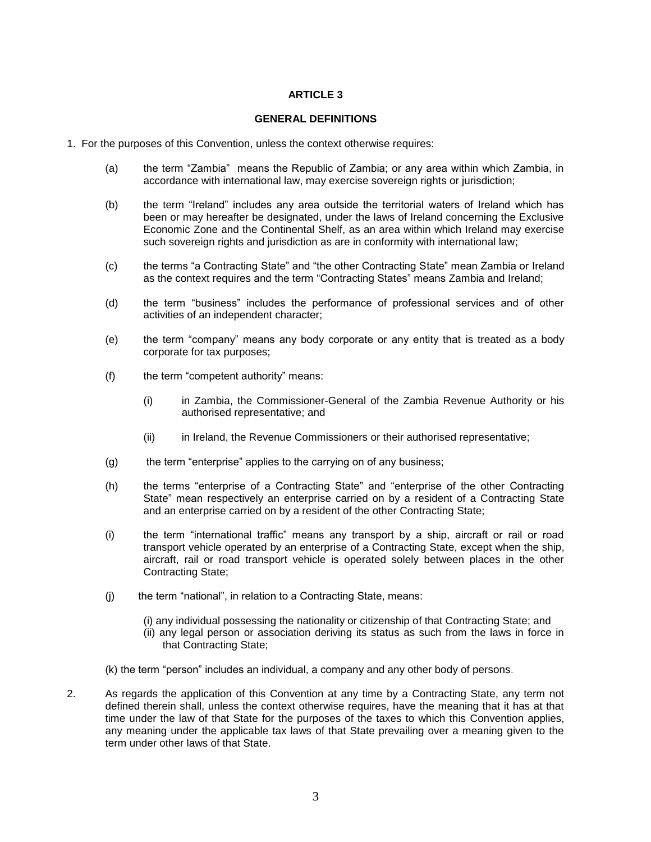#### **GENERAL DEFINITIONS**

1. For the purposes of this Convention, unless the context otherwise requires:

- (a) the term "Zambia" means the Republic of Zambia; or any area within which Zambia, in accordance with international law, may exercise sovereign rights or jurisdiction;
- (b) the term "Ireland" includes any area outside the territorial waters of Ireland which has been or may hereafter be designated, under the laws of Ireland concerning the Exclusive Economic Zone and the Continental Shelf, as an area within which Ireland may exercise such sovereign rights and jurisdiction as are in conformity with international law;
- (c) the terms "a Contracting State" and "the other Contracting State" mean Zambia or Ireland as the context requires and the term "Contracting States" means Zambia and Ireland;
- (d) the term "business" includes the performance of professional services and of other activities of an independent character;
- (e) the term "company" means any body corporate or any entity that is treated as a body corporate for tax purposes;
- (f) the term "competent authority" means:
	- (i) in Zambia, the Commissioner-General of the Zambia Revenue Authority or his authorised representative; and
	- (ii) in Ireland, the Revenue Commissioners or their authorised representative;
- (g) the term "enterprise" applies to the carrying on of any business;
- (h) the terms "enterprise of a Contracting State" and "enterprise of the other Contracting State" mean respectively an enterprise carried on by a resident of a Contracting State and an enterprise carried on by a resident of the other Contracting State;
- (i) the term "international traffic" means any transport by a ship, aircraft or rail or road transport vehicle operated by an enterprise of a Contracting State, except when the ship, aircraft, rail or road transport vehicle is operated solely between places in the other Contracting State;
- (j) the term "national", in relation to a Contracting State, means:
	- (i) any individual possessing the nationality or citizenship of that Contracting State; and
	- (ii) any legal person or association deriving its status as such from the laws in force in that Contracting State;

(k) the term "person" includes an individual, a company and any other body of persons.

2. As regards the application of this Convention at any time by a Contracting State, any term not defined therein shall, unless the context otherwise requires, have the meaning that it has at that time under the law of that State for the purposes of the taxes to which this Convention applies, any meaning under the applicable tax laws of that State prevailing over a meaning given to the term under other laws of that State.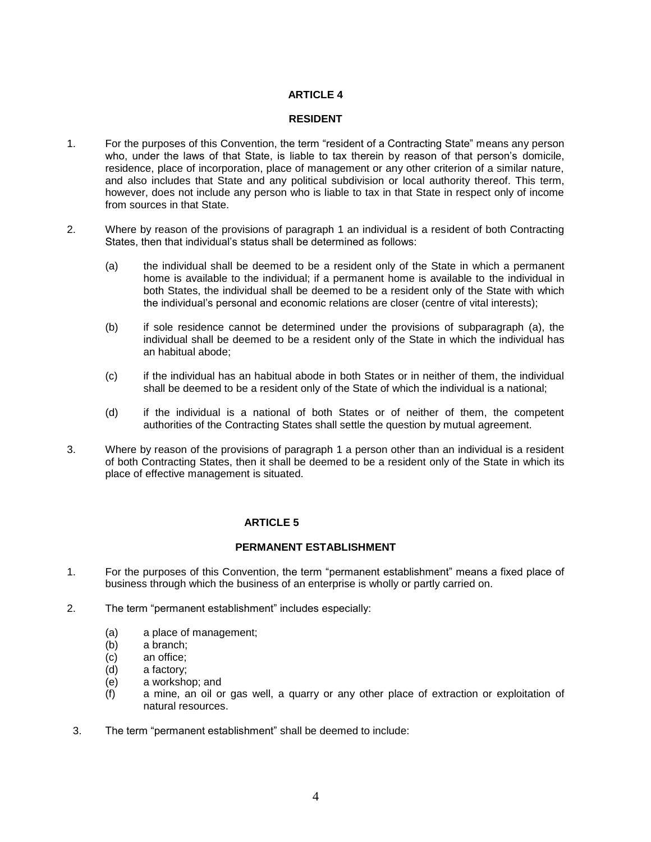#### **RESIDENT**

- 1. For the purposes of this Convention, the term "resident of a Contracting State" means any person who, under the laws of that State, is liable to tax therein by reason of that person's domicile, residence, place of incorporation, place of management or any other criterion of a similar nature, and also includes that State and any political subdivision or local authority thereof. This term, however, does not include any person who is liable to tax in that State in respect only of income from sources in that State.
- 2. Where by reason of the provisions of paragraph 1 an individual is a resident of both Contracting States, then that individual's status shall be determined as follows:
	- (a) the individual shall be deemed to be a resident only of the State in which a permanent home is available to the individual; if a permanent home is available to the individual in both States, the individual shall be deemed to be a resident only of the State with which the individual's personal and economic relations are closer (centre of vital interests);
	- (b) if sole residence cannot be determined under the provisions of subparagraph (a), the individual shall be deemed to be a resident only of the State in which the individual has an habitual abode;
	- (c) if the individual has an habitual abode in both States or in neither of them, the individual shall be deemed to be a resident only of the State of which the individual is a national;
	- (d) if the individual is a national of both States or of neither of them, the competent authorities of the Contracting States shall settle the question by mutual agreement.
- 3. Where by reason of the provisions of paragraph 1 a person other than an individual is a resident of both Contracting States, then it shall be deemed to be a resident only of the State in which its place of effective management is situated.

#### **ARTICLE 5**

#### **PERMANENT ESTABLISHMENT**

- 1. For the purposes of this Convention, the term "permanent establishment" means a fixed place of business through which the business of an enterprise is wholly or partly carried on.
- 2. The term "permanent establishment" includes especially:
	- (a) a place of management;
	- (b) a branch;
	- (c) an office;
	- (d) a factory;
	- (e) a workshop; and
	- (f) a mine, an oil or gas well, a quarry or any other place of extraction or exploitation of natural resources.
- 3. The term "permanent establishment" shall be deemed to include: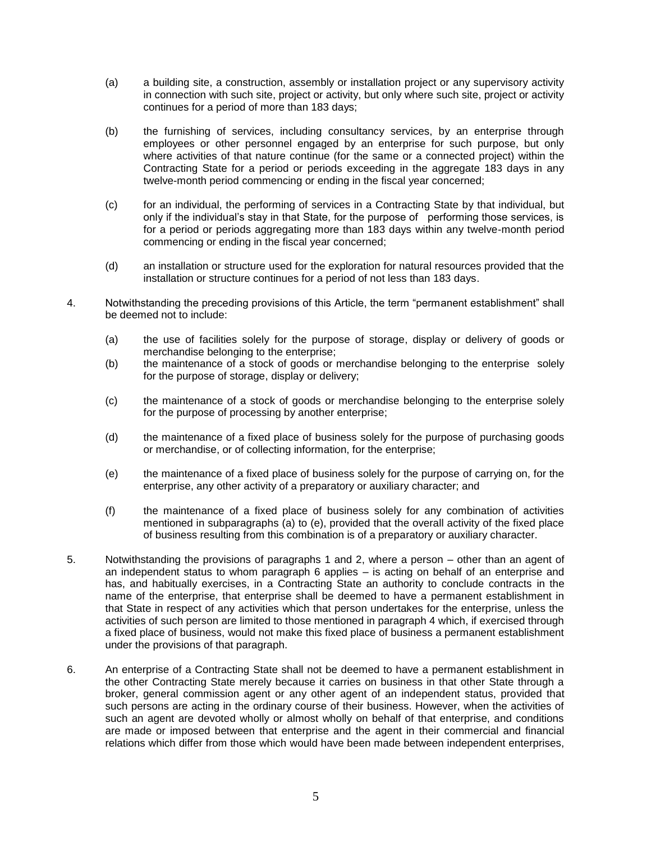- (a) a building site, a construction, assembly or installation project or any supervisory activity in connection with such site, project or activity, but only where such site, project or activity continues for a period of more than 183 days;
- (b) the furnishing of services, including consultancy services, by an enterprise through employees or other personnel engaged by an enterprise for such purpose, but only where activities of that nature continue (for the same or a connected project) within the Contracting State for a period or periods exceeding in the aggregate 183 days in any twelve-month period commencing or ending in the fiscal year concerned;
- (c) for an individual, the performing of services in a Contracting State by that individual, but only if the individual's stay in that State, for the purpose of performing those services, is for a period or periods aggregating more than 183 days within any twelve-month period commencing or ending in the fiscal year concerned;
- (d) an installation or structure used for the exploration for natural resources provided that the installation or structure continues for a period of not less than 183 days.
- 4. Notwithstanding the preceding provisions of this Article, the term "permanent establishment" shall be deemed not to include:
	- (a) the use of facilities solely for the purpose of storage, display or delivery of goods or merchandise belonging to the enterprise;
	- (b) the maintenance of a stock of goods or merchandise belonging to the enterprise solely for the purpose of storage, display or delivery;
	- (c) the maintenance of a stock of goods or merchandise belonging to the enterprise solely for the purpose of processing by another enterprise;
	- (d) the maintenance of a fixed place of business solely for the purpose of purchasing goods or merchandise, or of collecting information, for the enterprise;
	- (e) the maintenance of a fixed place of business solely for the purpose of carrying on, for the enterprise, any other activity of a preparatory or auxiliary character; and
	- (f) the maintenance of a fixed place of business solely for any combination of activities mentioned in subparagraphs (a) to (e), provided that the overall activity of the fixed place of business resulting from this combination is of a preparatory or auxiliary character.
- 5. Notwithstanding the provisions of paragraphs 1 and 2, where a person other than an agent of an independent status to whom paragraph 6 applies – is acting on behalf of an enterprise and has, and habitually exercises, in a Contracting State an authority to conclude contracts in the name of the enterprise, that enterprise shall be deemed to have a permanent establishment in that State in respect of any activities which that person undertakes for the enterprise, unless the activities of such person are limited to those mentioned in paragraph 4 which, if exercised through a fixed place of business, would not make this fixed place of business a permanent establishment under the provisions of that paragraph.
- 6. An enterprise of a Contracting State shall not be deemed to have a permanent establishment in the other Contracting State merely because it carries on business in that other State through a broker, general commission agent or any other agent of an independent status, provided that such persons are acting in the ordinary course of their business. However, when the activities of such an agent are devoted wholly or almost wholly on behalf of that enterprise, and conditions are made or imposed between that enterprise and the agent in their commercial and financial relations which differ from those which would have been made between independent enterprises,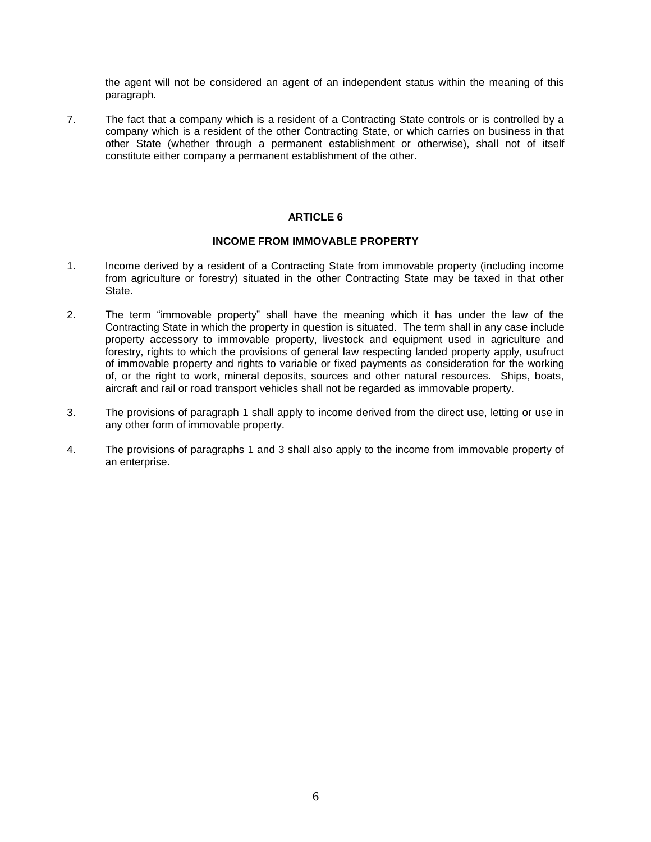the agent will not be considered an agent of an independent status within the meaning of this paragraph*.*

7. The fact that a company which is a resident of a Contracting State controls or is controlled by a company which is a resident of the other Contracting State, or which carries on business in that other State (whether through a permanent establishment or otherwise), shall not of itself constitute either company a permanent establishment of the other.

# **ARTICLE 6**

#### **INCOME FROM IMMOVABLE PROPERTY**

- 1. Income derived by a resident of a Contracting State from immovable property (including income from agriculture or forestry) situated in the other Contracting State may be taxed in that other State.
- 2. The term "immovable property" shall have the meaning which it has under the law of the Contracting State in which the property in question is situated. The term shall in any case include property accessory to immovable property, livestock and equipment used in agriculture and forestry, rights to which the provisions of general law respecting landed property apply, usufruct of immovable property and rights to variable or fixed payments as consideration for the working of, or the right to work, mineral deposits, sources and other natural resources. Ships, boats, aircraft and rail or road transport vehicles shall not be regarded as immovable property.
- 3. The provisions of paragraph 1 shall apply to income derived from the direct use, letting or use in any other form of immovable property.
- 4. The provisions of paragraphs 1 and 3 shall also apply to the income from immovable property of an enterprise.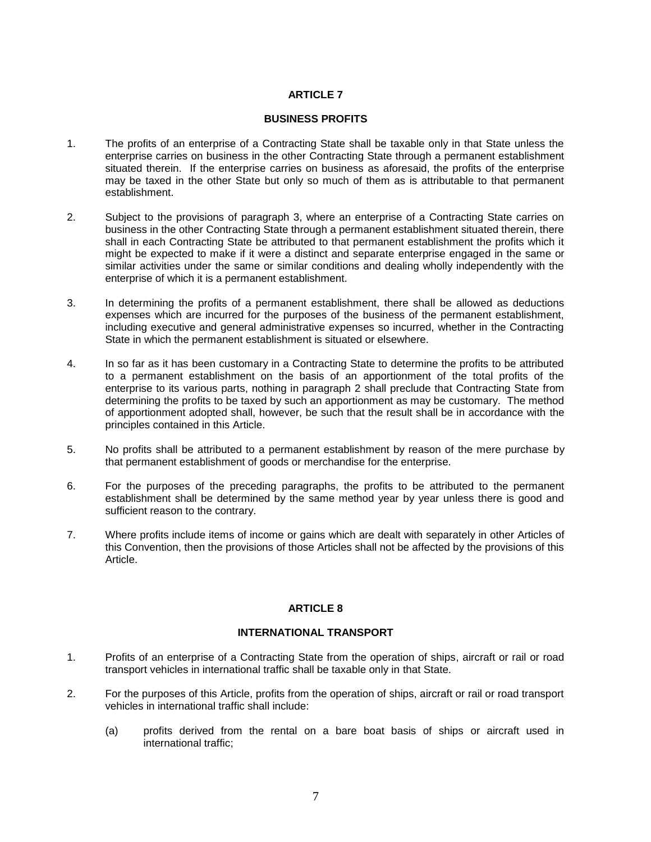#### **BUSINESS PROFITS**

- 1. The profits of an enterprise of a Contracting State shall be taxable only in that State unless the enterprise carries on business in the other Contracting State through a permanent establishment situated therein. If the enterprise carries on business as aforesaid, the profits of the enterprise may be taxed in the other State but only so much of them as is attributable to that permanent establishment.
- 2. Subject to the provisions of paragraph 3, where an enterprise of a Contracting State carries on business in the other Contracting State through a permanent establishment situated therein, there shall in each Contracting State be attributed to that permanent establishment the profits which it might be expected to make if it were a distinct and separate enterprise engaged in the same or similar activities under the same or similar conditions and dealing wholly independently with the enterprise of which it is a permanent establishment.
- 3. In determining the profits of a permanent establishment, there shall be allowed as deductions expenses which are incurred for the purposes of the business of the permanent establishment, including executive and general administrative expenses so incurred, whether in the Contracting State in which the permanent establishment is situated or elsewhere.
- 4. In so far as it has been customary in a Contracting State to determine the profits to be attributed to a permanent establishment on the basis of an apportionment of the total profits of the enterprise to its various parts, nothing in paragraph 2 shall preclude that Contracting State from determining the profits to be taxed by such an apportionment as may be customary. The method of apportionment adopted shall, however, be such that the result shall be in accordance with the principles contained in this Article.
- 5. No profits shall be attributed to a permanent establishment by reason of the mere purchase by that permanent establishment of goods or merchandise for the enterprise.
- 6. For the purposes of the preceding paragraphs, the profits to be attributed to the permanent establishment shall be determined by the same method year by year unless there is good and sufficient reason to the contrary.
- 7. Where profits include items of income or gains which are dealt with separately in other Articles of this Convention, then the provisions of those Articles shall not be affected by the provisions of this Article.

#### **ARTICLE 8**

#### **INTERNATIONAL TRANSPORT**

- 1. Profits of an enterprise of a Contracting State from the operation of ships, aircraft or rail or road transport vehicles in international traffic shall be taxable only in that State.
- 2. For the purposes of this Article, profits from the operation of ships, aircraft or rail or road transport vehicles in international traffic shall include:
	- (a) profits derived from the rental on a bare boat basis of ships or aircraft used in international traffic;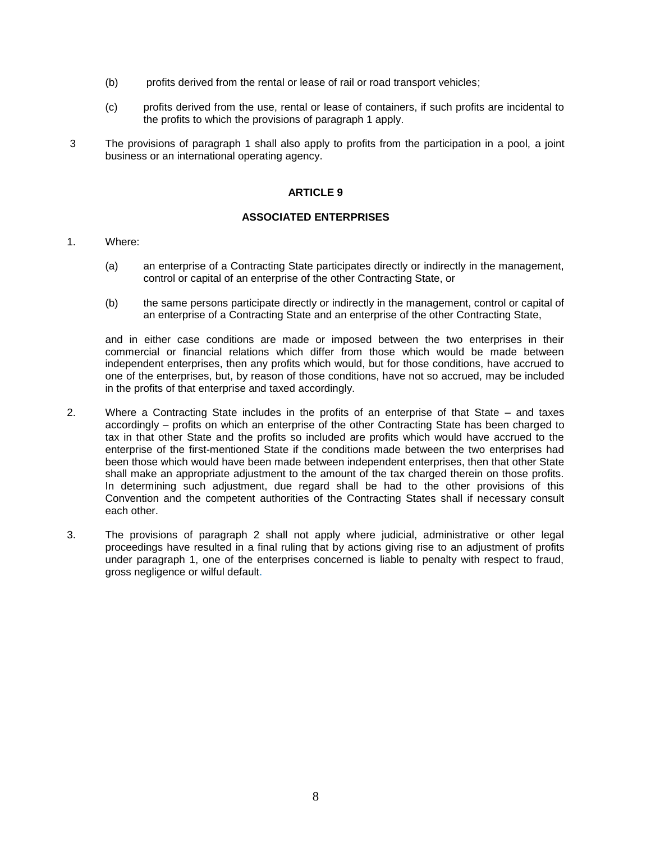- (b) profits derived from the rental or lease of rail or road transport vehicles;
- (c) profits derived from the use, rental or lease of containers, if such profits are incidental to the profits to which the provisions of paragraph 1 apply.
- 3 The provisions of paragraph 1 shall also apply to profits from the participation in a pool, a joint business or an international operating agency.

# **ASSOCIATED ENTERPRISES**

- 1. Where:
	- (a) an enterprise of a Contracting State participates directly or indirectly in the management, control or capital of an enterprise of the other Contracting State, or
	- (b) the same persons participate directly or indirectly in the management, control or capital of an enterprise of a Contracting State and an enterprise of the other Contracting State,

and in either case conditions are made or imposed between the two enterprises in their commercial or financial relations which differ from those which would be made between independent enterprises, then any profits which would, but for those conditions, have accrued to one of the enterprises, but, by reason of those conditions, have not so accrued, may be included in the profits of that enterprise and taxed accordingly.

- 2. Where a Contracting State includes in the profits of an enterprise of that State and taxes accordingly – profits on which an enterprise of the other Contracting State has been charged to tax in that other State and the profits so included are profits which would have accrued to the enterprise of the first-mentioned State if the conditions made between the two enterprises had been those which would have been made between independent enterprises, then that other State shall make an appropriate adjustment to the amount of the tax charged therein on those profits. In determining such adjustment, due regard shall be had to the other provisions of this Convention and the competent authorities of the Contracting States shall if necessary consult each other.
- 3. The provisions of paragraph 2 shall not apply where judicial, administrative or other legal proceedings have resulted in a final ruling that by actions giving rise to an adjustment of profits under paragraph 1, one of the enterprises concerned is liable to penalty with respect to fraud, gross negligence or wilful default.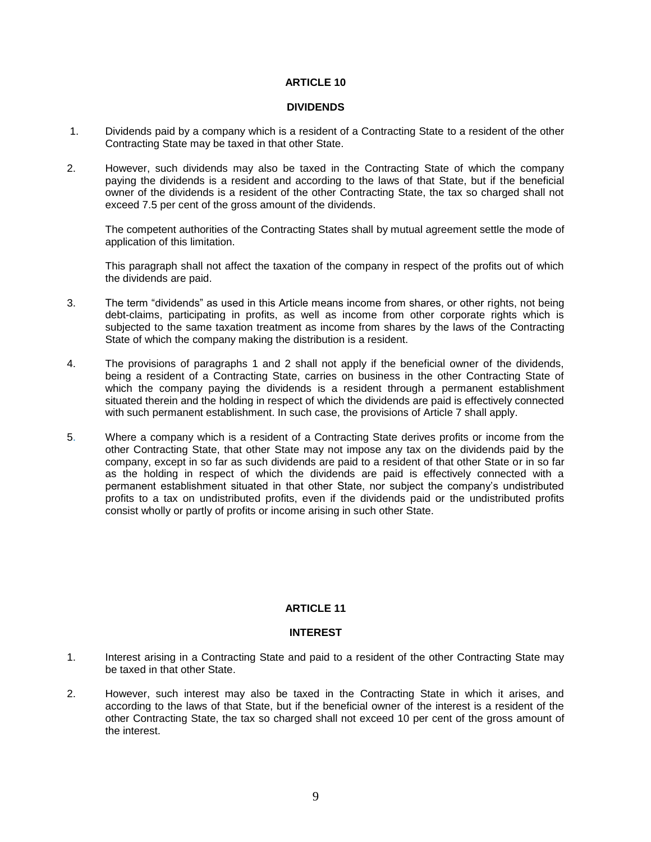#### **DIVIDENDS**

- 1. Dividends paid by a company which is a resident of a Contracting State to a resident of the other Contracting State may be taxed in that other State.
- 2. However, such dividends may also be taxed in the Contracting State of which the company paying the dividends is a resident and according to the laws of that State, but if the beneficial owner of the dividends is a resident of the other Contracting State, the tax so charged shall not exceed 7.5 per cent of the gross amount of the dividends.

The competent authorities of the Contracting States shall by mutual agreement settle the mode of application of this limitation.

This paragraph shall not affect the taxation of the company in respect of the profits out of which the dividends are paid.

- 3. The term "dividends" as used in this Article means income from shares, or other rights, not being debt-claims, participating in profits, as well as income from other corporate rights which is subjected to the same taxation treatment as income from shares by the laws of the Contracting State of which the company making the distribution is a resident.
- 4. The provisions of paragraphs 1 and 2 shall not apply if the beneficial owner of the dividends, being a resident of a Contracting State, carries on business in the other Contracting State of which the company paying the dividends is a resident through a permanent establishment situated therein and the holding in respect of which the dividends are paid is effectively connected with such permanent establishment. In such case, the provisions of Article 7 shall apply.
- 5. Where a company which is a resident of a Contracting State derives profits or income from the other Contracting State, that other State may not impose any tax on the dividends paid by the company, except in so far as such dividends are paid to a resident of that other State or in so far as the holding in respect of which the dividends are paid is effectively connected with a permanent establishment situated in that other State, nor subject the company's undistributed profits to a tax on undistributed profits, even if the dividends paid or the undistributed profits consist wholly or partly of profits or income arising in such other State.

#### **ARTICLE 11**

#### **INTEREST**

- 1. Interest arising in a Contracting State and paid to a resident of the other Contracting State may be taxed in that other State.
- 2. However, such interest may also be taxed in the Contracting State in which it arises, and according to the laws of that State, but if the beneficial owner of the interest is a resident of the other Contracting State, the tax so charged shall not exceed 10 per cent of the gross amount of the interest.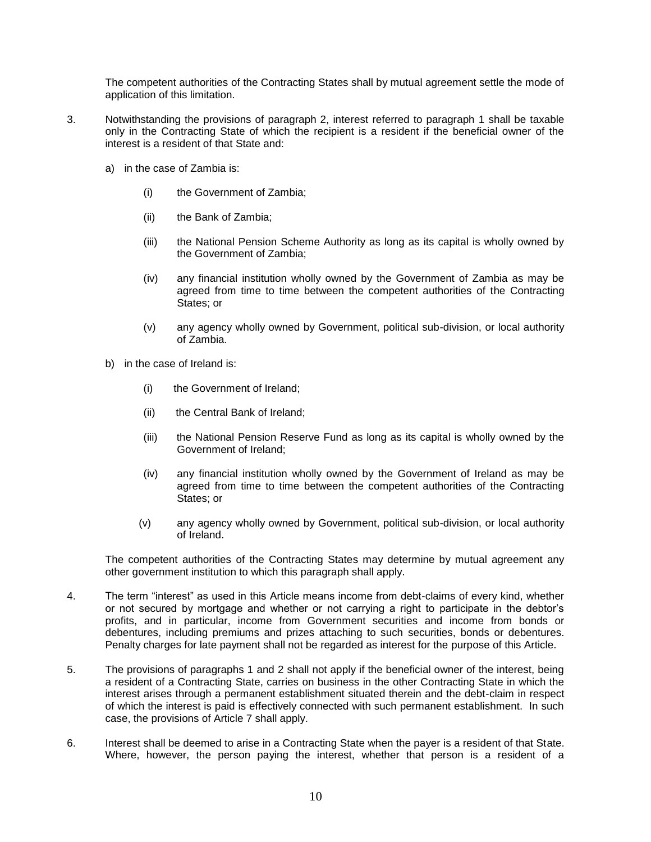The competent authorities of the Contracting States shall by mutual agreement settle the mode of application of this limitation.

- 3. Notwithstanding the provisions of paragraph 2, interest referred to paragraph 1 shall be taxable only in the Contracting State of which the recipient is a resident if the beneficial owner of the interest is a resident of that State and:
	- a) in the case of Zambia is:
		- (i) the Government of Zambia;
		- (ii) the Bank of Zambia;
		- (iii) the National Pension Scheme Authority as long as its capital is wholly owned by the Government of Zambia;
		- (iv) any financial institution wholly owned by the Government of Zambia as may be agreed from time to time between the competent authorities of the Contracting States; or
		- (v) any agency wholly owned by Government, political sub-division, or local authority of Zambia.
	- b) in the case of Ireland is:
		- (i) the Government of Ireland;
		- (ii) the Central Bank of Ireland;
		- (iii) the National Pension Reserve Fund as long as its capital is wholly owned by the Government of Ireland;
		- (iv) any financial institution wholly owned by the Government of Ireland as may be agreed from time to time between the competent authorities of the Contracting States; or
		- (v) any agency wholly owned by Government, political sub-division, or local authority of Ireland.

The competent authorities of the Contracting States may determine by mutual agreement any other government institution to which this paragraph shall apply.

- 4. The term "interest" as used in this Article means income from debt-claims of every kind, whether or not secured by mortgage and whether or not carrying a right to participate in the debtor's profits, and in particular, income from Government securities and income from bonds or debentures, including premiums and prizes attaching to such securities, bonds or debentures. Penalty charges for late payment shall not be regarded as interest for the purpose of this Article.
- 5. The provisions of paragraphs 1 and 2 shall not apply if the beneficial owner of the interest, being a resident of a Contracting State, carries on business in the other Contracting State in which the interest arises through a permanent establishment situated therein and the debt-claim in respect of which the interest is paid is effectively connected with such permanent establishment. In such case, the provisions of Article 7 shall apply.
- 6. Interest shall be deemed to arise in a Contracting State when the payer is a resident of that State. Where, however, the person paying the interest, whether that person is a resident of a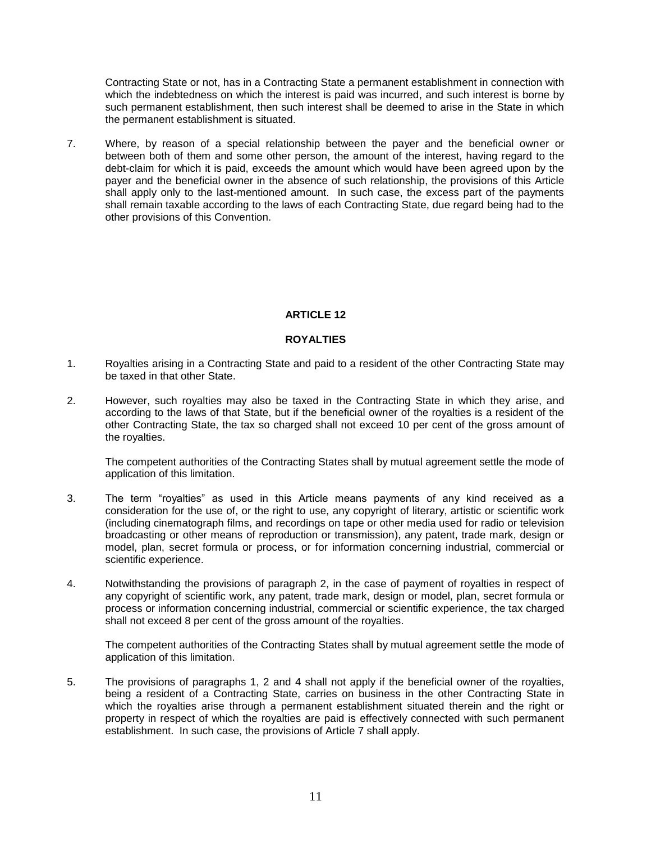Contracting State or not, has in a Contracting State a permanent establishment in connection with which the indebtedness on which the interest is paid was incurred, and such interest is borne by such permanent establishment, then such interest shall be deemed to arise in the State in which the permanent establishment is situated.

7. Where, by reason of a special relationship between the payer and the beneficial owner or between both of them and some other person, the amount of the interest, having regard to the debt-claim for which it is paid, exceeds the amount which would have been agreed upon by the payer and the beneficial owner in the absence of such relationship, the provisions of this Article shall apply only to the last-mentioned amount. In such case, the excess part of the payments shall remain taxable according to the laws of each Contracting State, due regard being had to the other provisions of this Convention.

# **ARTICLE 12**

# **ROYALTIES**

- 1. Royalties arising in a Contracting State and paid to a resident of the other Contracting State may be taxed in that other State.
- 2. However, such royalties may also be taxed in the Contracting State in which they arise, and according to the laws of that State, but if the beneficial owner of the royalties is a resident of the other Contracting State, the tax so charged shall not exceed 10 per cent of the gross amount of the royalties.

The competent authorities of the Contracting States shall by mutual agreement settle the mode of application of this limitation.

- 3. The term "royalties" as used in this Article means payments of any kind received as a consideration for the use of, or the right to use, any copyright of literary, artistic or scientific work (including cinematograph films, and recordings on tape or other media used for radio or television broadcasting or other means of reproduction or transmission), any patent, trade mark, design or model, plan, secret formula or process, or for information concerning industrial, commercial or scientific experience.
- 4. Notwithstanding the provisions of paragraph 2, in the case of payment of royalties in respect of any copyright of scientific work, any patent, trade mark, design or model, plan, secret formula or process or information concerning industrial, commercial or scientific experience, the tax charged shall not exceed 8 per cent of the gross amount of the royalties.

The competent authorities of the Contracting States shall by mutual agreement settle the mode of application of this limitation.

5. The provisions of paragraphs 1, 2 and 4 shall not apply if the beneficial owner of the royalties, being a resident of a Contracting State, carries on business in the other Contracting State in which the royalties arise through a permanent establishment situated therein and the right or property in respect of which the royalties are paid is effectively connected with such permanent establishment. In such case, the provisions of Article 7 shall apply.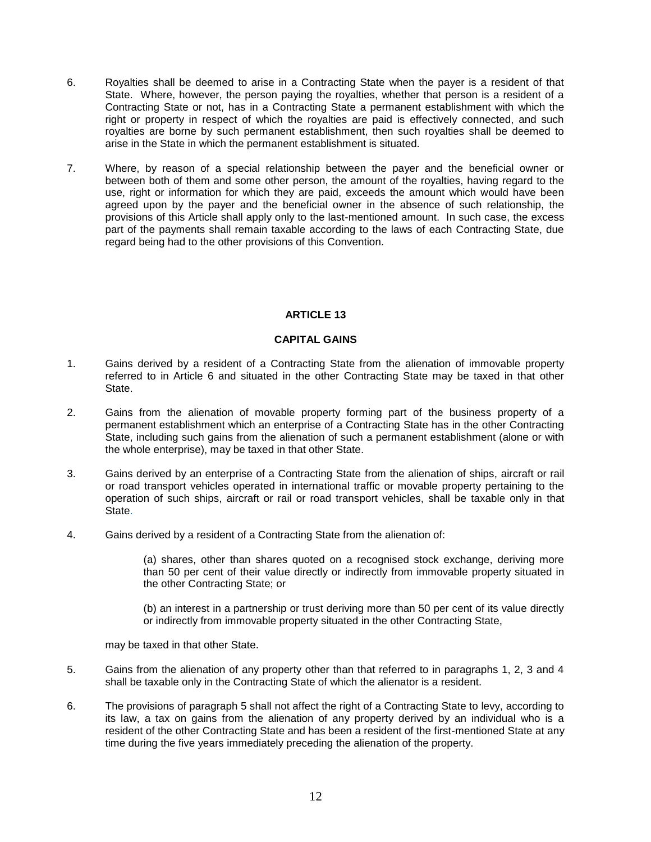- 6. Royalties shall be deemed to arise in a Contracting State when the payer is a resident of that State. Where, however, the person paying the royalties, whether that person is a resident of a Contracting State or not, has in a Contracting State a permanent establishment with which the right or property in respect of which the royalties are paid is effectively connected, and such royalties are borne by such permanent establishment, then such royalties shall be deemed to arise in the State in which the permanent establishment is situated.
- 7. Where, by reason of a special relationship between the payer and the beneficial owner or between both of them and some other person, the amount of the royalties, having regard to the use, right or information for which they are paid, exceeds the amount which would have been agreed upon by the payer and the beneficial owner in the absence of such relationship, the provisions of this Article shall apply only to the last-mentioned amount. In such case, the excess part of the payments shall remain taxable according to the laws of each Contracting State, due regard being had to the other provisions of this Convention.

# **CAPITAL GAINS**

- 1. Gains derived by a resident of a Contracting State from the alienation of immovable property referred to in Article 6 and situated in the other Contracting State may be taxed in that other State.
- 2. Gains from the alienation of movable property forming part of the business property of a permanent establishment which an enterprise of a Contracting State has in the other Contracting State, including such gains from the alienation of such a permanent establishment (alone or with the whole enterprise), may be taxed in that other State.
- 3. Gains derived by an enterprise of a Contracting State from the alienation of ships, aircraft or rail or road transport vehicles operated in international traffic or movable property pertaining to the operation of such ships, aircraft or rail or road transport vehicles, shall be taxable only in that State.
- 4. Gains derived by a resident of a Contracting State from the alienation of:

(a) shares, other than shares quoted on a recognised stock exchange, deriving more than 50 per cent of their value directly or indirectly from immovable property situated in the other Contracting State; or

(b) an interest in a partnership or trust deriving more than 50 per cent of its value directly or indirectly from immovable property situated in the other Contracting State,

may be taxed in that other State.

- 5. Gains from the alienation of any property other than that referred to in paragraphs 1, 2, 3 and 4 shall be taxable only in the Contracting State of which the alienator is a resident.
- 6. The provisions of paragraph 5 shall not affect the right of a Contracting State to levy, according to its law, a tax on gains from the alienation of any property derived by an individual who is a resident of the other Contracting State and has been a resident of the first-mentioned State at any time during the five years immediately preceding the alienation of the property.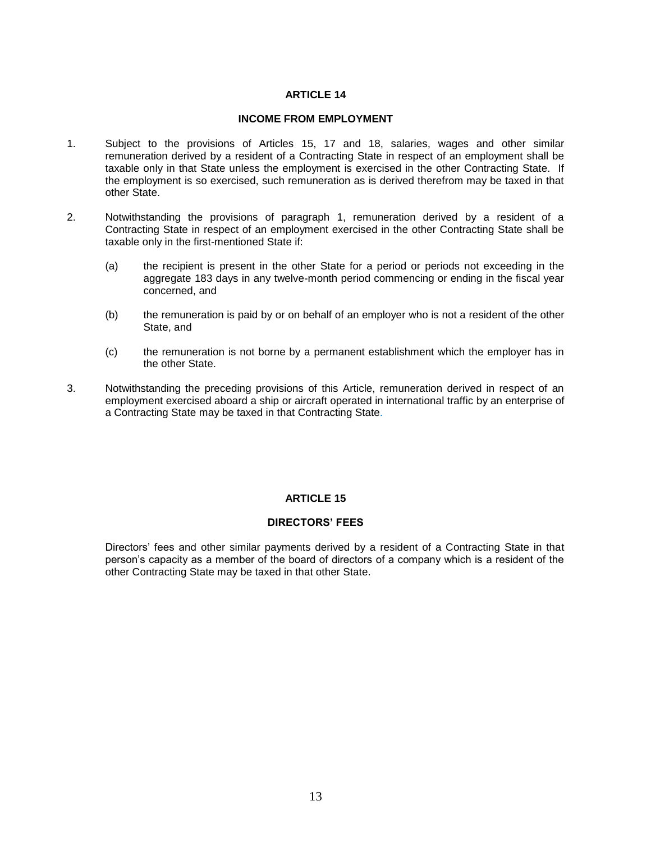#### **INCOME FROM EMPLOYMENT**

- 1. Subject to the provisions of Articles 15, 17 and 18, salaries, wages and other similar remuneration derived by a resident of a Contracting State in respect of an employment shall be taxable only in that State unless the employment is exercised in the other Contracting State. If the employment is so exercised, such remuneration as is derived therefrom may be taxed in that other State.
- 2. Notwithstanding the provisions of paragraph 1, remuneration derived by a resident of a Contracting State in respect of an employment exercised in the other Contracting State shall be taxable only in the first-mentioned State if:
	- (a) the recipient is present in the other State for a period or periods not exceeding in the aggregate 183 days in any twelve-month period commencing or ending in the fiscal year concerned, and
	- (b) the remuneration is paid by or on behalf of an employer who is not a resident of the other State, and
	- (c) the remuneration is not borne by a permanent establishment which the employer has in the other State.
- 3. Notwithstanding the preceding provisions of this Article, remuneration derived in respect of an employment exercised aboard a ship or aircraft operated in international traffic by an enterprise of a Contracting State may be taxed in that Contracting State.

#### **ARTICLE 15**

#### **DIRECTORS' FEES**

Directors' fees and other similar payments derived by a resident of a Contracting State in that person's capacity as a member of the board of directors of a company which is a resident of the other Contracting State may be taxed in that other State.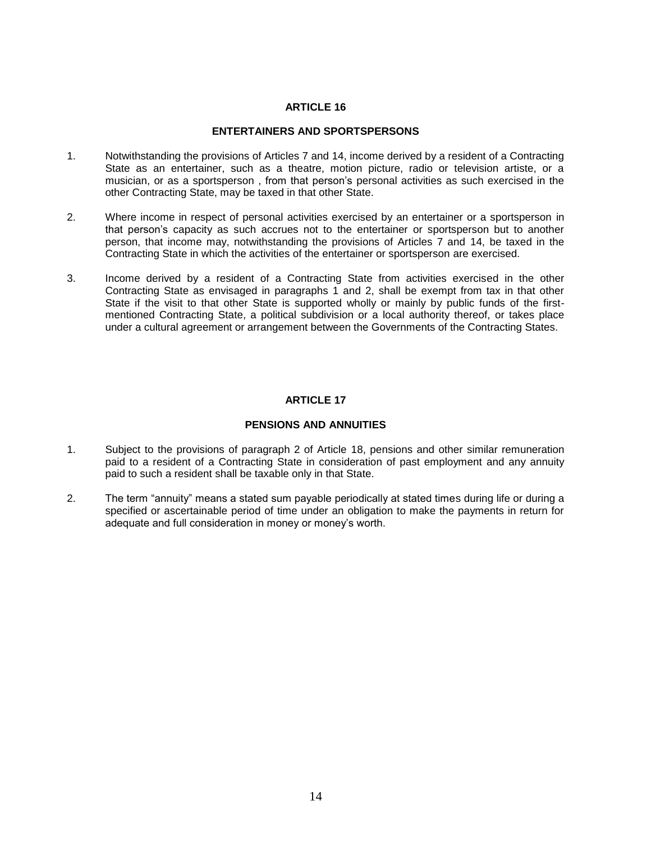#### **ENTERTAINERS AND SPORTSPERSONS**

- 1. Notwithstanding the provisions of Articles 7 and 14, income derived by a resident of a Contracting State as an entertainer, such as a theatre, motion picture, radio or television artiste, or a musician, or as a sportsperson , from that person's personal activities as such exercised in the other Contracting State, may be taxed in that other State.
- 2. Where income in respect of personal activities exercised by an entertainer or a sportsperson in that person's capacity as such accrues not to the entertainer or sportsperson but to another person, that income may, notwithstanding the provisions of Articles 7 and 14, be taxed in the Contracting State in which the activities of the entertainer or sportsperson are exercised.
- 3. Income derived by a resident of a Contracting State from activities exercised in the other Contracting State as envisaged in paragraphs 1 and 2, shall be exempt from tax in that other State if the visit to that other State is supported wholly or mainly by public funds of the firstmentioned Contracting State, a political subdivision or a local authority thereof, or takes place under a cultural agreement or arrangement between the Governments of the Contracting States.

#### **ARTICLE 17**

#### **PENSIONS AND ANNUITIES**

- 1. Subject to the provisions of paragraph 2 of Article 18, pensions and other similar remuneration paid to a resident of a Contracting State in consideration of past employment and any annuity paid to such a resident shall be taxable only in that State.
- 2. The term "annuity" means a stated sum payable periodically at stated times during life or during a specified or ascertainable period of time under an obligation to make the payments in return for adequate and full consideration in money or money's worth.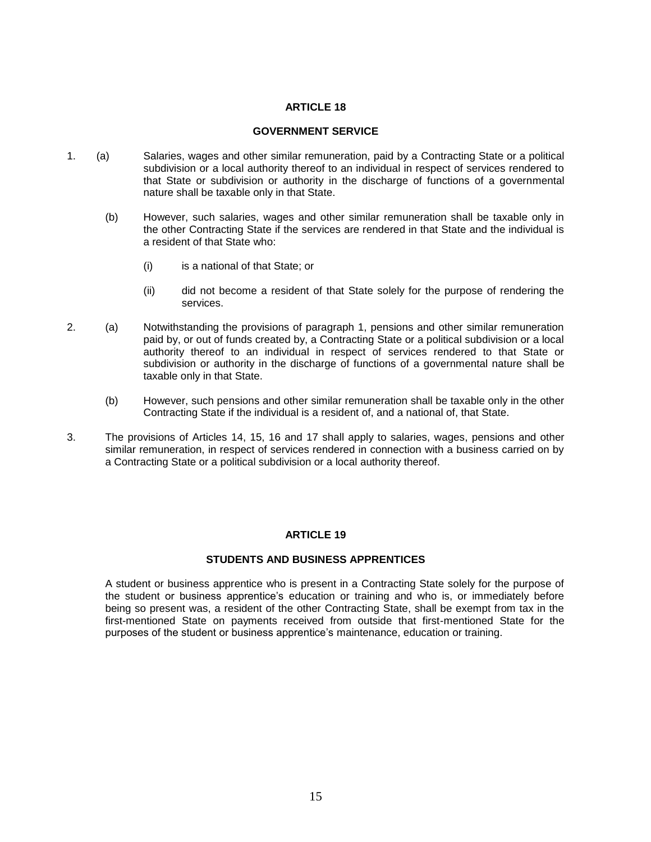# **GOVERNMENT SERVICE**

- 1. (a) Salaries, wages and other similar remuneration, paid by a Contracting State or a political subdivision or a local authority thereof to an individual in respect of services rendered to that State or subdivision or authority in the discharge of functions of a governmental nature shall be taxable only in that State.
	- (b) However, such salaries, wages and other similar remuneration shall be taxable only in the other Contracting State if the services are rendered in that State and the individual is a resident of that State who:
		- (i) is a national of that State; or
		- (ii) did not become a resident of that State solely for the purpose of rendering the services.
- 2. (a) Notwithstanding the provisions of paragraph 1, pensions and other similar remuneration paid by, or out of funds created by, a Contracting State or a political subdivision or a local authority thereof to an individual in respect of services rendered to that State or subdivision or authority in the discharge of functions of a governmental nature shall be taxable only in that State.
	- (b) However, such pensions and other similar remuneration shall be taxable only in the other Contracting State if the individual is a resident of, and a national of, that State.
- 3. The provisions of Articles 14, 15, 16 and 17 shall apply to salaries, wages, pensions and other similar remuneration, in respect of services rendered in connection with a business carried on by a Contracting State or a political subdivision or a local authority thereof.

# **ARTICLE 19**

#### **STUDENTS AND BUSINESS APPRENTICES**

A student or business apprentice who is present in a Contracting State solely for the purpose of the student or business apprentice's education or training and who is, or immediately before being so present was, a resident of the other Contracting State, shall be exempt from tax in the first-mentioned State on payments received from outside that first-mentioned State for the purposes of the student or business apprentice's maintenance, education or training.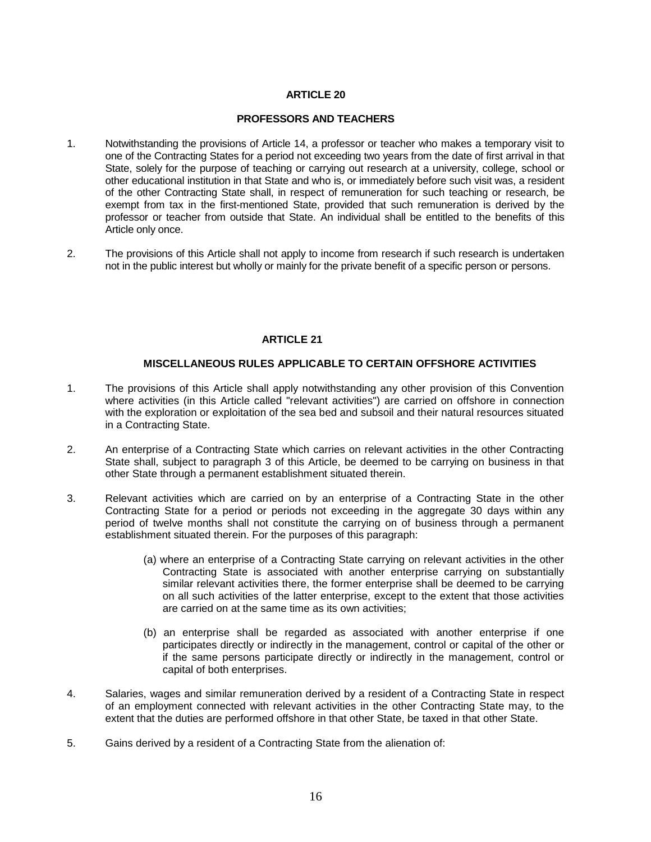#### **PROFESSORS AND TEACHERS**

- 1. Notwithstanding the provisions of Article 14, a professor or teacher who makes a temporary visit to one of the Contracting States for a period not exceeding two years from the date of first arrival in that State, solely for the purpose of teaching or carrying out research at a university, college, school or other educational institution in that State and who is, or immediately before such visit was, a resident of the other Contracting State shall, in respect of remuneration for such teaching or research, be exempt from tax in the first-mentioned State, provided that such remuneration is derived by the professor or teacher from outside that State. An individual shall be entitled to the benefits of this Article only once.
- 2. The provisions of this Article shall not apply to income from research if such research is undertaken not in the public interest but wholly or mainly for the private benefit of a specific person or persons.

# **ARTICLE 21**

#### **MISCELLANEOUS RULES APPLICABLE TO CERTAIN OFFSHORE ACTIVITIES**

- 1. The provisions of this Article shall apply notwithstanding any other provision of this Convention where activities (in this Article called "relevant activities") are carried on offshore in connection with the exploration or exploitation of the sea bed and subsoil and their natural resources situated in a Contracting State.
- 2. An enterprise of a Contracting State which carries on relevant activities in the other Contracting State shall, subject to paragraph 3 of this Article, be deemed to be carrying on business in that other State through a permanent establishment situated therein.
- 3. Relevant activities which are carried on by an enterprise of a Contracting State in the other Contracting State for a period or periods not exceeding in the aggregate 30 days within any period of twelve months shall not constitute the carrying on of business through a permanent establishment situated therein. For the purposes of this paragraph:
	- (a) where an enterprise of a Contracting State carrying on relevant activities in the other Contracting State is associated with another enterprise carrying on substantially similar relevant activities there, the former enterprise shall be deemed to be carrying on all such activities of the latter enterprise, except to the extent that those activities are carried on at the same time as its own activities;
	- (b) an enterprise shall be regarded as associated with another enterprise if one participates directly or indirectly in the management, control or capital of the other or if the same persons participate directly or indirectly in the management, control or capital of both enterprises.
- 4. Salaries, wages and similar remuneration derived by a resident of a Contracting State in respect of an employment connected with relevant activities in the other Contracting State may, to the extent that the duties are performed offshore in that other State, be taxed in that other State.
- 5. Gains derived by a resident of a Contracting State from the alienation of: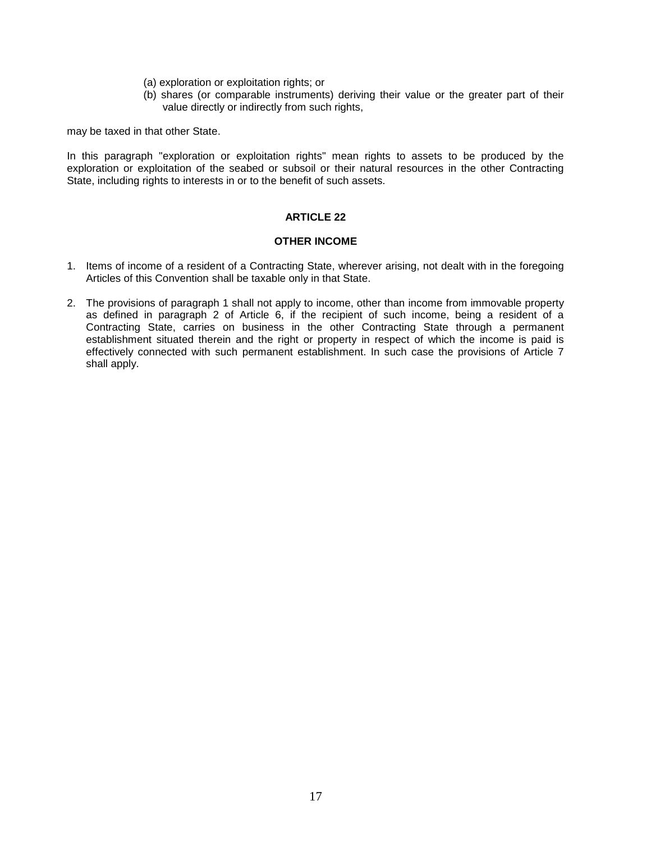- (a) exploration or exploitation rights; or
- (b) shares (or comparable instruments) deriving their value or the greater part of their value directly or indirectly from such rights,

may be taxed in that other State.

In this paragraph "exploration or exploitation rights" mean rights to assets to be produced by the exploration or exploitation of the seabed or subsoil or their natural resources in the other Contracting State, including rights to interests in or to the benefit of such assets.

# **ARTICLE 22**

#### **OTHER INCOME**

- 1. Items of income of a resident of a Contracting State, wherever arising, not dealt with in the foregoing Articles of this Convention shall be taxable only in that State.
- 2. The provisions of paragraph 1 shall not apply to income, other than income from immovable property as defined in paragraph 2 of Article 6, if the recipient of such income, being a resident of a Contracting State, carries on business in the other Contracting State through a permanent establishment situated therein and the right or property in respect of which the income is paid is effectively connected with such permanent establishment. In such case the provisions of Article 7 shall apply.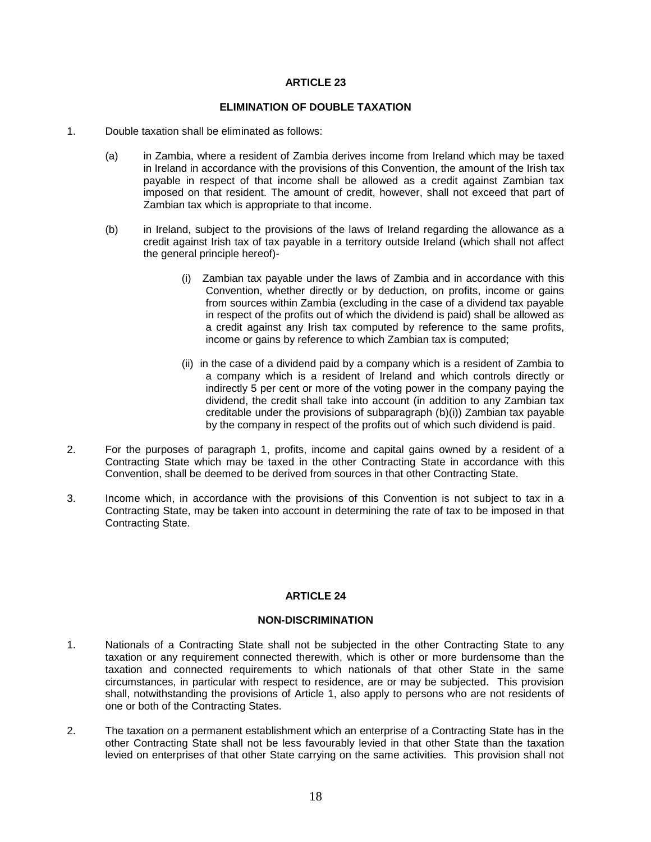#### **ELIMINATION OF DOUBLE TAXATION**

- 1. Double taxation shall be eliminated as follows:
	- (a) in Zambia, where a resident of Zambia derives income from Ireland which may be taxed in Ireland in accordance with the provisions of this Convention, the amount of the Irish tax payable in respect of that income shall be allowed as a credit against Zambian tax imposed on that resident. The amount of credit, however, shall not exceed that part of Zambian tax which is appropriate to that income.
	- (b) in Ireland, subject to the provisions of the laws of Ireland regarding the allowance as a credit against Irish tax of tax payable in a territory outside Ireland (which shall not affect the general principle hereof)-
		- (i) Zambian tax payable under the laws of Zambia and in accordance with this Convention, whether directly or by deduction, on profits, income or gains from sources within Zambia (excluding in the case of a dividend tax payable in respect of the profits out of which the dividend is paid) shall be allowed as a credit against any Irish tax computed by reference to the same profits, income or gains by reference to which Zambian tax is computed;
		- (ii) in the case of a dividend paid by a company which is a resident of Zambia to a company which is a resident of Ireland and which controls directly or indirectly 5 per cent or more of the voting power in the company paying the dividend, the credit shall take into account (in addition to any Zambian tax creditable under the provisions of subparagraph (b)(i)) Zambian tax payable by the company in respect of the profits out of which such dividend is paid.
- 2. For the purposes of paragraph 1, profits, income and capital gains owned by a resident of a Contracting State which may be taxed in the other Contracting State in accordance with this Convention, shall be deemed to be derived from sources in that other Contracting State.
- 3. Income which, in accordance with the provisions of this Convention is not subject to tax in a Contracting State, may be taken into account in determining the rate of tax to be imposed in that Contracting State.

#### **ARTICLE 24**

#### **NON-DISCRIMINATION**

- 1. Nationals of a Contracting State shall not be subjected in the other Contracting State to any taxation or any requirement connected therewith, which is other or more burdensome than the taxation and connected requirements to which nationals of that other State in the same circumstances, in particular with respect to residence, are or may be subjected. This provision shall, notwithstanding the provisions of Article 1, also apply to persons who are not residents of one or both of the Contracting States.
- 2. The taxation on a permanent establishment which an enterprise of a Contracting State has in the other Contracting State shall not be less favourably levied in that other State than the taxation levied on enterprises of that other State carrying on the same activities. This provision shall not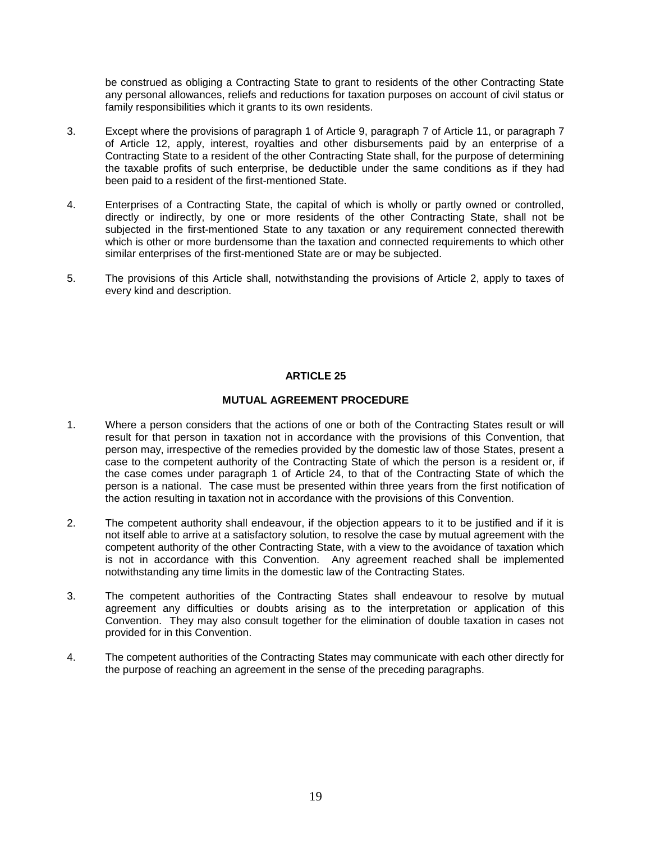be construed as obliging a Contracting State to grant to residents of the other Contracting State any personal allowances, reliefs and reductions for taxation purposes on account of civil status or family responsibilities which it grants to its own residents.

- 3. Except where the provisions of paragraph 1 of Article 9, paragraph 7 of Article 11, or paragraph 7 of Article 12, apply, interest, royalties and other disbursements paid by an enterprise of a Contracting State to a resident of the other Contracting State shall, for the purpose of determining the taxable profits of such enterprise, be deductible under the same conditions as if they had been paid to a resident of the first-mentioned State.
- 4. Enterprises of a Contracting State, the capital of which is wholly or partly owned or controlled, directly or indirectly, by one or more residents of the other Contracting State, shall not be subjected in the first-mentioned State to any taxation or any requirement connected therewith which is other or more burdensome than the taxation and connected requirements to which other similar enterprises of the first-mentioned State are or may be subjected.
- 5. The provisions of this Article shall, notwithstanding the provisions of Article 2, apply to taxes of every kind and description.

# **ARTICLE 25**

# **MUTUAL AGREEMENT PROCEDURE**

- 1. Where a person considers that the actions of one or both of the Contracting States result or will result for that person in taxation not in accordance with the provisions of this Convention, that person may, irrespective of the remedies provided by the domestic law of those States, present a case to the competent authority of the Contracting State of which the person is a resident or, if the case comes under paragraph 1 of Article 24, to that of the Contracting State of which the person is a national. The case must be presented within three years from the first notification of the action resulting in taxation not in accordance with the provisions of this Convention.
- 2. The competent authority shall endeavour, if the objection appears to it to be justified and if it is not itself able to arrive at a satisfactory solution, to resolve the case by mutual agreement with the competent authority of the other Contracting State, with a view to the avoidance of taxation which is not in accordance with this Convention. Any agreement reached shall be implemented notwithstanding any time limits in the domestic law of the Contracting States.
- 3. The competent authorities of the Contracting States shall endeavour to resolve by mutual agreement any difficulties or doubts arising as to the interpretation or application of this Convention. They may also consult together for the elimination of double taxation in cases not provided for in this Convention.
- 4. The competent authorities of the Contracting States may communicate with each other directly for the purpose of reaching an agreement in the sense of the preceding paragraphs.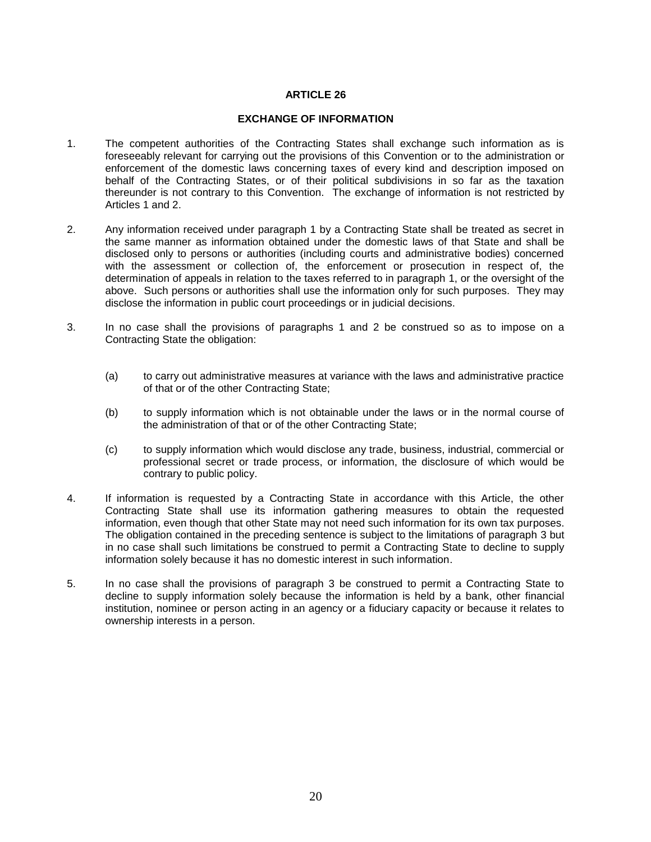#### **EXCHANGE OF INFORMATION**

- 1. The competent authorities of the Contracting States shall exchange such information as is foreseeably relevant for carrying out the provisions of this Convention or to the administration or enforcement of the domestic laws concerning taxes of every kind and description imposed on behalf of the Contracting States, or of their political subdivisions in so far as the taxation thereunder is not contrary to this Convention. The exchange of information is not restricted by Articles 1 and 2.
- 2. Any information received under paragraph 1 by a Contracting State shall be treated as secret in the same manner as information obtained under the domestic laws of that State and shall be disclosed only to persons or authorities (including courts and administrative bodies) concerned with the assessment or collection of, the enforcement or prosecution in respect of, the determination of appeals in relation to the taxes referred to in paragraph 1, or the oversight of the above. Such persons or authorities shall use the information only for such purposes. They may disclose the information in public court proceedings or in judicial decisions.
- 3. In no case shall the provisions of paragraphs 1 and 2 be construed so as to impose on a Contracting State the obligation:
	- (a) to carry out administrative measures at variance with the laws and administrative practice of that or of the other Contracting State;
	- (b) to supply information which is not obtainable under the laws or in the normal course of the administration of that or of the other Contracting State;
	- (c) to supply information which would disclose any trade, business, industrial, commercial or professional secret or trade process, or information, the disclosure of which would be contrary to public policy.
- 4. If information is requested by a Contracting State in accordance with this Article, the other Contracting State shall use its information gathering measures to obtain the requested information, even though that other State may not need such information for its own tax purposes. The obligation contained in the preceding sentence is subject to the limitations of paragraph 3 but in no case shall such limitations be construed to permit a Contracting State to decline to supply information solely because it has no domestic interest in such information.
- 5. In no case shall the provisions of paragraph 3 be construed to permit a Contracting State to decline to supply information solely because the information is held by a bank, other financial institution, nominee or person acting in an agency or a fiduciary capacity or because it relates to ownership interests in a person.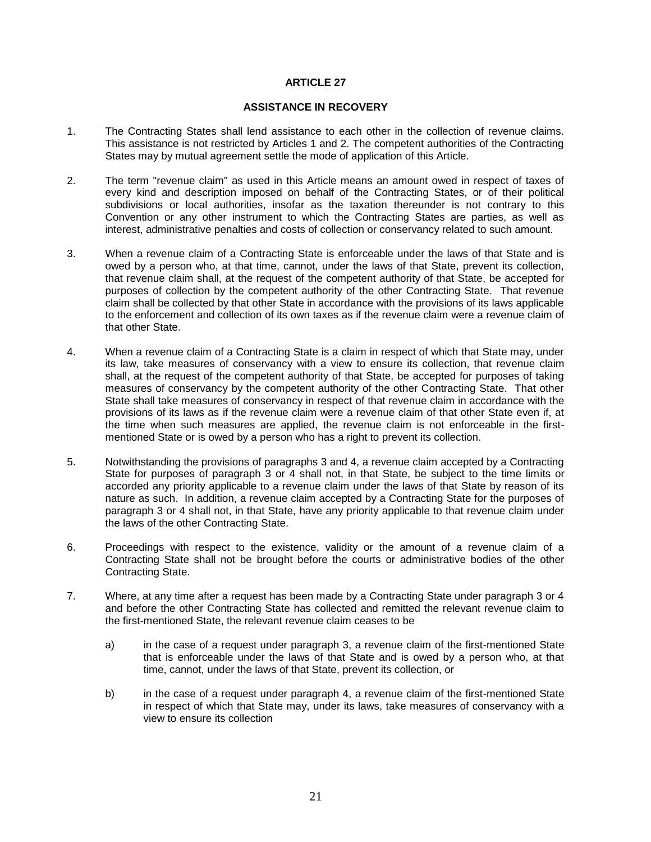#### **ASSISTANCE IN RECOVERY**

- 1. The Contracting States shall lend assistance to each other in the collection of revenue claims. This assistance is not restricted by Articles 1 and 2. The competent authorities of the Contracting States may by mutual agreement settle the mode of application of this Article.
- 2. The term "revenue claim" as used in this Article means an amount owed in respect of taxes of every kind and description imposed on behalf of the Contracting States, or of their political subdivisions or local authorities, insofar as the taxation thereunder is not contrary to this Convention or any other instrument to which the Contracting States are parties, as well as interest, administrative penalties and costs of collection or conservancy related to such amount.
- 3. When a revenue claim of a Contracting State is enforceable under the laws of that State and is owed by a person who, at that time, cannot, under the laws of that State, prevent its collection, that revenue claim shall, at the request of the competent authority of that State, be accepted for purposes of collection by the competent authority of the other Contracting State. That revenue claim shall be collected by that other State in accordance with the provisions of its laws applicable to the enforcement and collection of its own taxes as if the revenue claim were a revenue claim of that other State.
- 4. When a revenue claim of a Contracting State is a claim in respect of which that State may, under its law, take measures of conservancy with a view to ensure its collection, that revenue claim shall, at the request of the competent authority of that State, be accepted for purposes of taking measures of conservancy by the competent authority of the other Contracting State. That other State shall take measures of conservancy in respect of that revenue claim in accordance with the provisions of its laws as if the revenue claim were a revenue claim of that other State even if, at the time when such measures are applied, the revenue claim is not enforceable in the firstmentioned State or is owed by a person who has a right to prevent its collection.
- 5. Notwithstanding the provisions of paragraphs 3 and 4, a revenue claim accepted by a Contracting State for purposes of paragraph 3 or 4 shall not, in that State, be subject to the time limits or accorded any priority applicable to a revenue claim under the laws of that State by reason of its nature as such. In addition, a revenue claim accepted by a Contracting State for the purposes of paragraph 3 or 4 shall not, in that State, have any priority applicable to that revenue claim under the laws of the other Contracting State.
- 6. Proceedings with respect to the existence, validity or the amount of a revenue claim of a Contracting State shall not be brought before the courts or administrative bodies of the other Contracting State.
- 7. Where, at any time after a request has been made by a Contracting State under paragraph 3 or 4 and before the other Contracting State has collected and remitted the relevant revenue claim to the first-mentioned State, the relevant revenue claim ceases to be
	- a) in the case of a request under paragraph 3, a revenue claim of the first-mentioned State that is enforceable under the laws of that State and is owed by a person who, at that time, cannot, under the laws of that State, prevent its collection, or
	- b) in the case of a request under paragraph 4, a revenue claim of the first-mentioned State in respect of which that State may, under its laws, take measures of conservancy with a view to ensure its collection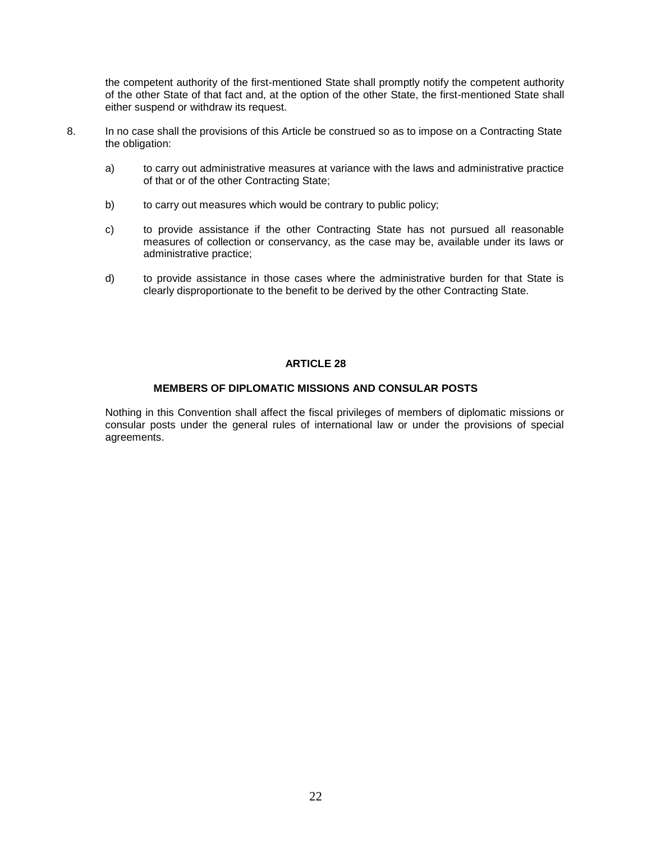the competent authority of the first-mentioned State shall promptly notify the competent authority of the other State of that fact and, at the option of the other State, the first-mentioned State shall either suspend or withdraw its request.

- 8. In no case shall the provisions of this Article be construed so as to impose on a Contracting State the obligation:
	- a) to carry out administrative measures at variance with the laws and administrative practice of that or of the other Contracting State;
	- b) to carry out measures which would be contrary to public policy;
	- c) to provide assistance if the other Contracting State has not pursued all reasonable measures of collection or conservancy, as the case may be, available under its laws or administrative practice;
	- d) to provide assistance in those cases where the administrative burden for that State is clearly disproportionate to the benefit to be derived by the other Contracting State.

#### **ARTICLE 28**

#### **MEMBERS OF DIPLOMATIC MISSIONS AND CONSULAR POSTS**

Nothing in this Convention shall affect the fiscal privileges of members of diplomatic missions or consular posts under the general rules of international law or under the provisions of special agreements.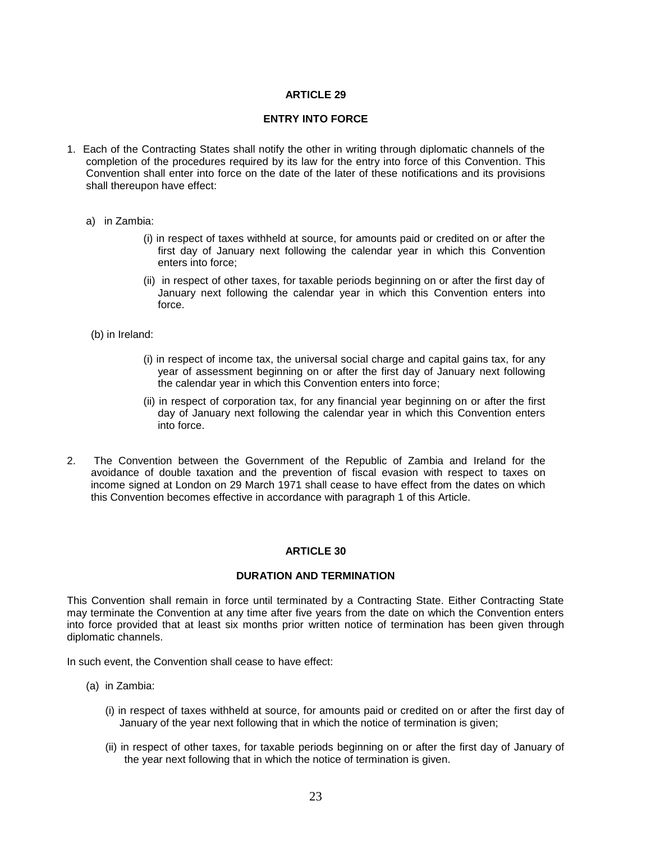# **ENTRY INTO FORCE**

- 1. Each of the Contracting States shall notify the other in writing through diplomatic channels of the completion of the procedures required by its law for the entry into force of this Convention. This Convention shall enter into force on the date of the later of these notifications and its provisions shall thereupon have effect:
	- a) in Zambia:
		- (i) in respect of taxes withheld at source, for amounts paid or credited on or after the first day of January next following the calendar year in which this Convention enters into force;
		- (ii) in respect of other taxes, for taxable periods beginning on or after the first day of January next following the calendar year in which this Convention enters into force.
	- (b) in Ireland:
		- (i) in respect of income tax, the universal social charge and capital gains tax, for any year of assessment beginning on or after the first day of January next following the calendar year in which this Convention enters into force;
		- (ii) in respect of corporation tax, for any financial year beginning on or after the first day of January next following the calendar year in which this Convention enters into force.
- 2. The Convention between the Government of the Republic of Zambia and Ireland for the avoidance of double taxation and the prevention of fiscal evasion with respect to taxes on income signed at London on 29 March 1971 shall cease to have effect from the dates on which this Convention becomes effective in accordance with paragraph 1 of this Article.

#### **ARTICLE 30**

#### **DURATION AND TERMINATION**

This Convention shall remain in force until terminated by a Contracting State. Either Contracting State may terminate the Convention at any time after five years from the date on which the Convention enters into force provided that at least six months prior written notice of termination has been given through diplomatic channels.

In such event, the Convention shall cease to have effect:

- (a) in Zambia:
	- (i) in respect of taxes withheld at source, for amounts paid or credited on or after the first day of January of the year next following that in which the notice of termination is given;
	- (ii) in respect of other taxes, for taxable periods beginning on or after the first day of January of the year next following that in which the notice of termination is given.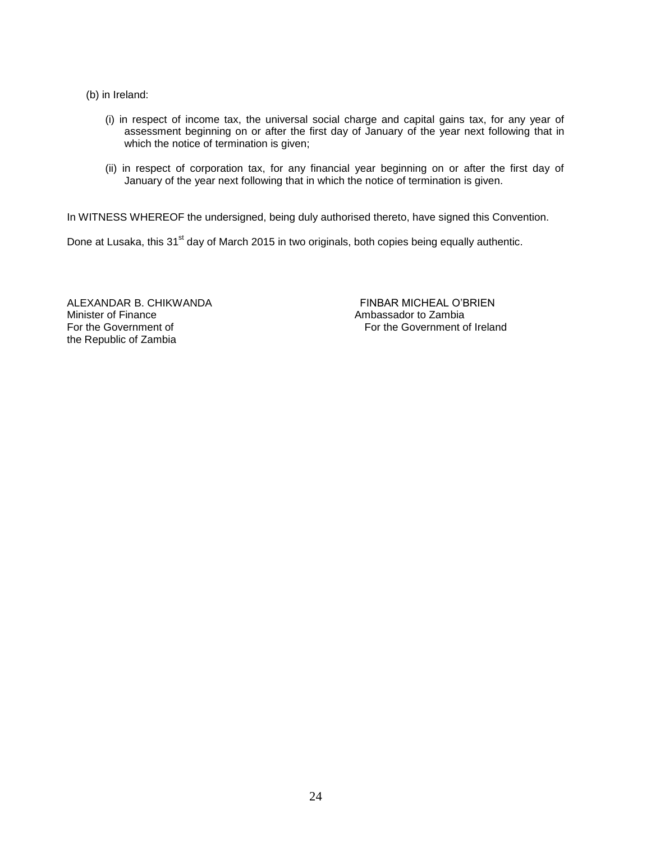- (b) in Ireland:
	- (i) in respect of income tax, the universal social charge and capital gains tax, for any year of assessment beginning on or after the first day of January of the year next following that in which the notice of termination is given;
	- (ii) in respect of corporation tax, for any financial year beginning on or after the first day of January of the year next following that in which the notice of termination is given.

In WITNESS WHEREOF the undersigned, being duly authorised thereto, have signed this Convention.

Done at Lusaka, this 31<sup>st</sup> day of March 2015 in two originals, both copies being equally authentic.

Minister of Finance<br>
For the Government of **Ambassador to Zambia**<br>
For the Government of the Republic of Zambia

ALEXANDAR B. CHIKWANDA FINBAR MICHEAL O'BRIEN For the Government of Ireland